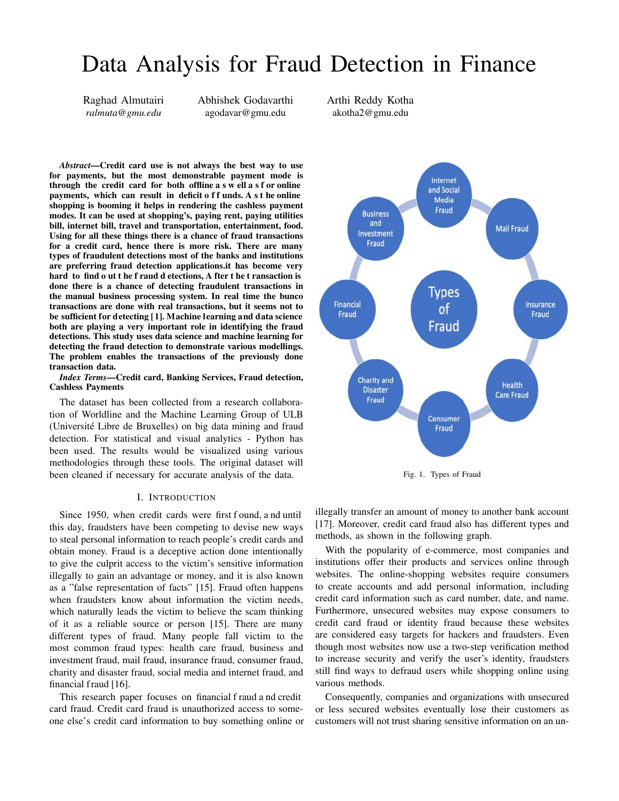# Data Analysis for Fraud Detection in Finance

Raghad Almutairi *ralmuta@gmu.edu*

Abhishek Godavarthi agodavar@gmu.edu

Arthi Reddy Kotha akotha2@gmu.edu

*Abstract*—Credit card use is not always the best way to use for payments, but the most demonstrable payment mode is through the credit card for both offline a s w ell a s f or online payments, which can result in deficit off unds. A sthe online shopping is booming it helps in rendering the cashless payment modes. It can be used at shopping's, paying rent, paying utilities bill, internet bill, travel and transportation, entertainment, food. Using for all these things there is a chance of fraud transactions for a credit card, hence there is more risk. There are many types of fraudulent detections most of the banks and institutions are preferring fraud detection applications.it has become very hard to find o ut t he f raud d etections, A fter t he t ransaction is done there is a chance of detecting fraudulent transactions in the manual business processing system. In real time the bunco transactions are done with real transactions, but it seems not to be sufficient for detecting [1]. Machine learning and data science both are playing a very important role in identifying the fraud detections. This study uses data science and machine learning for detecting the fraud detection to demonstrate various modellings. The problem enables the transactions of the previously done transaction data.

# *Index Terms*—Credit card, Banking Services, Fraud detection, Cashless Payments

The dataset has been collected from a research collaboration of Worldline and the Machine Learning Group of ULB (Université Libre de Bruxelles) on big data mining and fraud detection. For statistical and visual analytics - Python has been used. The results would be visualized using various methodologies through these tools. The original dataset will been cleaned if necessary for accurate analysis of the data.

## I. INTRODUCTION

Since 1950, when credit cards were first f ound, a nd until this day, fraudsters have been competing to devise new ways to steal personal information to reach people's credit cards and obtain money. Fraud is a deceptive action done intentionally to give the culprit access to the victim's sensitive information illegally to gain an advantage or money, and it is also known as a "false representation of facts" [15]. Fraud often happens when fraudsters know about information the victim needs, which naturally leads the victim to believe the scam thinking of it as a reliable source or person [15]. There are many different types of fraud. Many people fall victim to the most common fraud types: health care fraud, business and investment fraud, mail fraud, insurance fraud, consumer fraud, charity and disaster fraud, social media and internet fraud, and financial fraud [16].

This research paper focuses on financial f raud a nd credit card fraud. Credit card fraud is unauthorized access to someone else's credit card information to buy something online or



Fig. 1. Types of Fraud

illegally transfer an amount of money to another bank account [17]. Moreover, credit card fraud also has different types and methods, as shown in the following graph.

With the popularity of e-commerce, most companies and institutions offer their products and services online through websites. The online-shopping websites require consumers to create accounts and add personal information, including credit card information such as card number, date, and name. Furthermore, unsecured websites may expose consumers to credit card fraud or identity fraud because these websites are considered easy targets for hackers and fraudsters. Even though most websites now use a two-step verification method to increase security and verify the user's identity, fraudsters still find ways to defraud users while shopping online using various methods.

Consequently, companies and organizations with unsecured or less secured websites eventually lose their customers as customers will not trust sharing sensitive information on an un-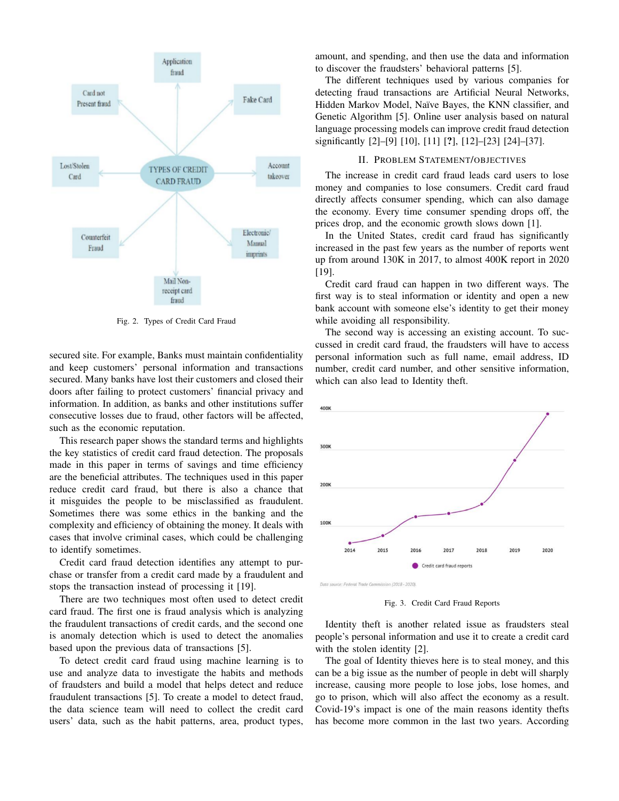

Fig. 2. Types of Credit Card Fraud

secured site. For example, Banks must maintain confidentiality and keep customers' personal information and transactions secured. Many banks have lost their customers and closed their doors after failing to protect customers' financial privacy and information. In addition, as banks and other institutions suffer consecutive losses due to fraud, other factors will be affected, such as the economic reputation.

This research paper shows the standard terms and highlights the key statistics of credit card fraud detection. The proposals made in this paper in terms of savings and time efficiency are the beneficial attributes. The techniques used in this paper reduce credit card fraud, but there is also a chance that it misguides the people to be misclassified as fraudulent. Sometimes there was some ethics in the banking and the complexity and efficiency of obtaining the money. It deals with cases that involve criminal cases, which could be challenging to identify sometimes.

Credit card fraud detection identifies any attempt to purchase or transfer from a credit card made by a fraudulent and stops the transaction instead of processing it [19].

There are two techniques most often used to detect credit card fraud. The first one is fraud analysis which is analyzing the fraudulent transactions of credit cards, and the second one is anomaly detection which is used to detect the anomalies based upon the previous data of transactions [5].

To detect credit card fraud using machine learning is to use and analyze data to investigate the habits and methods of fraudsters and build a model that helps detect and reduce fraudulent transactions [5]. To create a model to detect fraud, the data science team will need to collect the credit card users' data, such as the habit patterns, area, product types, amount, and spending, and then use the data and information to discover the fraudsters' behavioral patterns [5].

The different techniques used by various companies for detecting fraud transactions are Artificial Neural Networks, Hidden Markov Model, Naïve Bayes, the KNN classifier, and Genetic Algorithm [5]. Online user analysis based on natural language processing models can improve credit fraud detection significantly [2]–[9] [10], [11] [?], [12]–[23] [24]–[37].

# II. PROBLEM STATEMENT/OBJECTIVES

The increase in credit card fraud leads card users to lose money and companies to lose consumers. Credit card fraud directly affects consumer spending, which can also damage the economy. Every time consumer spending drops off, the prices drop, and the economic growth slows down [1].

In the United States, credit card fraud has significantly increased in the past few years as the number of reports went up from around 130K in 2017, to almost 400K report in 2020 [19].

Credit card fraud can happen in two different ways. The first way is to steal information or identity and open a new bank account with someone else's identity to get their money while avoiding all responsibility.

The second way is accessing an existing account. To succussed in credit card fraud, the fraudsters will have to access personal information such as full name, email address, ID number, credit card number, and other sensitive information, which can also lead to Identity theft.



Fig. 3. Credit Card Fraud Reports

Identity theft is another related issue as fraudsters steal people's personal information and use it to create a credit card with the stolen identity [2].

The goal of Identity thieves here is to steal money, and this can be a big issue as the number of people in debt will sharply increase, causing more people to lose jobs, lose homes, and go to prison, which will also affect the economy as a result. Covid-19's impact is one of the main reasons identity thefts has become more common in the last two years. According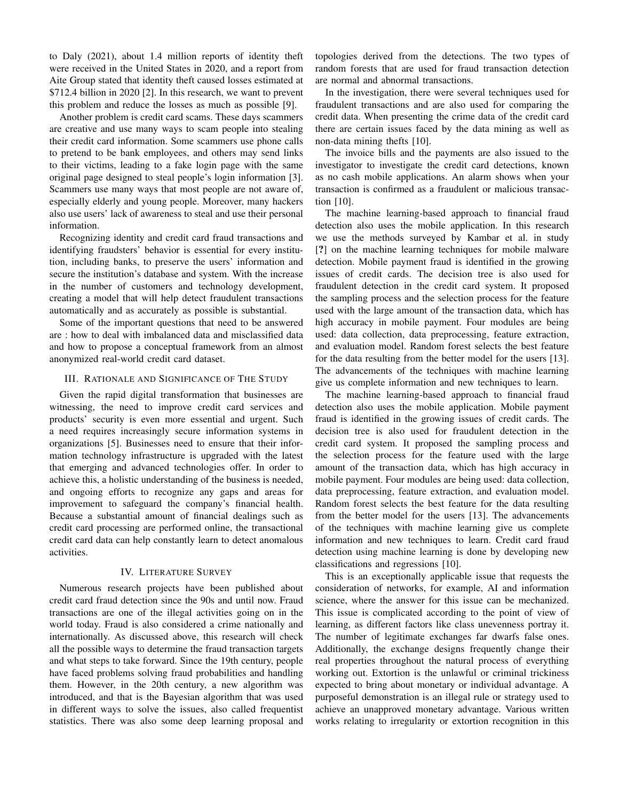to Daly (2021), about 1.4 million reports of identity theft were received in the United States in 2020, and a report from Aite Group stated that identity theft caused losses estimated at \$712.4 billion in 2020 [2]. In this research, we want to prevent this problem and reduce the losses as much as possible [9].

Another problem is credit card scams. These days scammers are creative and use many ways to scam people into stealing their credit card information. Some scammers use phone calls to pretend to be bank employees, and others may send links to their victims, leading to a fake login page with the same original page designed to steal people's login information [3]. Scammers use many ways that most people are not aware of, especially elderly and young people. Moreover, many hackers also use users' lack of awareness to steal and use their personal information.

Recognizing identity and credit card fraud transactions and identifying fraudsters' behavior is essential for every institution, including banks, to preserve the users' information and secure the institution's database and system. With the increase in the number of customers and technology development, creating a model that will help detect fraudulent transactions automatically and as accurately as possible is substantial.

Some of the important questions that need to be answered are : how to deal with imbalanced data and misclassified data and how to propose a conceptual framework from an almost anonymized real-world credit card dataset.

# III. RATIONALE AND SIGNIFICANCE OF THE STUDY

Given the rapid digital transformation that businesses are witnessing, the need to improve credit card services and products' security is even more essential and urgent. Such a need requires increasingly secure information systems in organizations [5]. Businesses need to ensure that their information technology infrastructure is upgraded with the latest that emerging and advanced technologies offer. In order to achieve this, a holistic understanding of the business is needed, and ongoing efforts to recognize any gaps and areas for improvement to safeguard the company's financial health. Because a substantial amount of financial dealings such as credit card processing are performed online, the transactional credit card data can help constantly learn to detect anomalous activities.

# IV. LITERATURE SURVEY

Numerous research projects have been published about credit card fraud detection since the 90s and until now. Fraud transactions are one of the illegal activities going on in the world today. Fraud is also considered a crime nationally and internationally. As discussed above, this research will check all the possible ways to determine the fraud transaction targets and what steps to take forward. Since the 19th century, people have faced problems solving fraud probabilities and handling them. However, in the 20th century, a new algorithm was introduced, and that is the Bayesian algorithm that was used in different ways to solve the issues, also called frequentist statistics. There was also some deep learning proposal and

topologies derived from the detections. The two types of random forests that are used for fraud transaction detection are normal and abnormal transactions.

In the investigation, there were several techniques used for fraudulent transactions and are also used for comparing the credit data. When presenting the crime data of the credit card there are certain issues faced by the data mining as well as non-data mining thefts [10].

The invoice bills and the payments are also issued to the investigator to investigate the credit card detections, known as no cash mobile applications. An alarm shows when your transaction is confirmed as a fraudulent or malicious transaction [10].

The machine learning-based approach to financial fraud detection also uses the mobile application. In this research we use the methods surveyed by Kambar et al. in study [?] on the machine learning techniques for mobile malware detection. Mobile payment fraud is identified in the growing issues of credit cards. The decision tree is also used for fraudulent detection in the credit card system. It proposed the sampling process and the selection process for the feature used with the large amount of the transaction data, which has high accuracy in mobile payment. Four modules are being used: data collection, data preprocessing, feature extraction, and evaluation model. Random forest selects the best feature for the data resulting from the better model for the users [13]. The advancements of the techniques with machine learning give us complete information and new techniques to learn.

The machine learning-based approach to financial fraud detection also uses the mobile application. Mobile payment fraud is identified in the growing issues of credit cards. The decision tree is also used for fraudulent detection in the credit card system. It proposed the sampling process and the selection process for the feature used with the large amount of the transaction data, which has high accuracy in mobile payment. Four modules are being used: data collection, data preprocessing, feature extraction, and evaluation model. Random forest selects the best feature for the data resulting from the better model for the users [13]. The advancements of the techniques with machine learning give us complete information and new techniques to learn. Credit card fraud detection using machine learning is done by developing new classifications and regressions [10].

This is an exceptionally applicable issue that requests the consideration of networks, for example, AI and information science, where the answer for this issue can be mechanized. This issue is complicated according to the point of view of learning, as different factors like class unevenness portray it. The number of legitimate exchanges far dwarfs false ones. Additionally, the exchange designs frequently change their real properties throughout the natural process of everything working out. Extortion is the unlawful or criminal trickiness expected to bring about monetary or individual advantage. A purposeful demonstration is an illegal rule or strategy used to achieve an unapproved monetary advantage. Various written works relating to irregularity or extortion recognition in this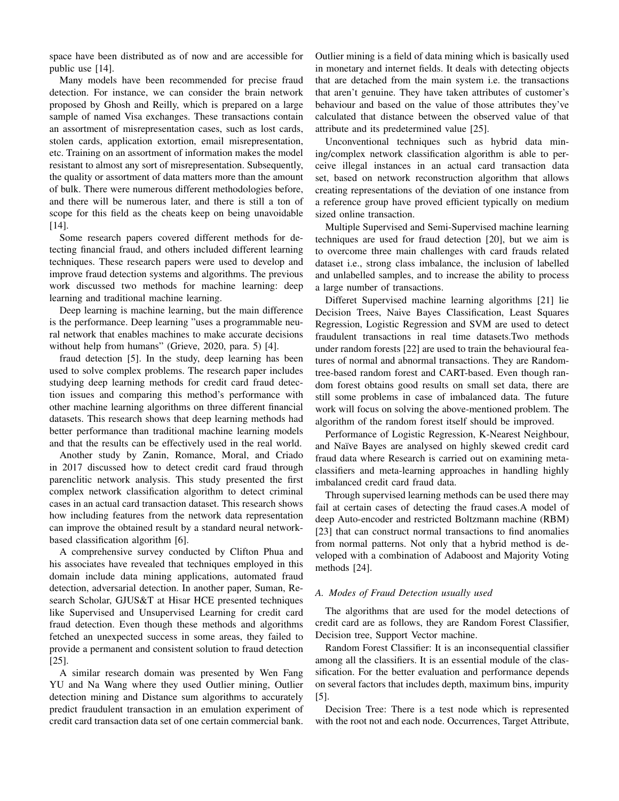space have been distributed as of now and are accessible for public use [14].

Many models have been recommended for precise fraud detection. For instance, we can consider the brain network proposed by Ghosh and Reilly, which is prepared on a large sample of named Visa exchanges. These transactions contain an assortment of misrepresentation cases, such as lost cards, stolen cards, application extortion, email misrepresentation, etc. Training on an assortment of information makes the model resistant to almost any sort of misrepresentation. Subsequently, the quality or assortment of data matters more than the amount of bulk. There were numerous different methodologies before, and there will be numerous later, and there is still a ton of scope for this field as the cheats keep on being unavoidable [14].

Some research papers covered different methods for detecting financial fraud, and others included different learning techniques. These research papers were used to develop and improve fraud detection systems and algorithms. The previous work discussed two methods for machine learning: deep learning and traditional machine learning.

Deep learning is machine learning, but the main difference is the performance. Deep learning "uses a programmable neural network that enables machines to make accurate decisions without help from humans" (Grieve, 2020, para. 5) [4].

fraud detection [5]. In the study, deep learning has been used to solve complex problems. The research paper includes studying deep learning methods for credit card fraud detection issues and comparing this method's performance with other machine learning algorithms on three different financial datasets. This research shows that deep learning methods had better performance than traditional machine learning models and that the results can be effectively used in the real world.

Another study by Zanin, Romance, Moral, and Criado in 2017 discussed how to detect credit card fraud through parenclitic network analysis. This study presented the first complex network classification algorithm to detect criminal cases in an actual card transaction dataset. This research shows how including features from the network data representation can improve the obtained result by a standard neural networkbased classification algorithm [6].

A comprehensive survey conducted by Clifton Phua and his associates have revealed that techniques employed in this domain include data mining applications, automated fraud detection, adversarial detection. In another paper, Suman, Research Scholar, GJUS&T at Hisar HCE presented techniques like Supervised and Unsupervised Learning for credit card fraud detection. Even though these methods and algorithms fetched an unexpected success in some areas, they failed to provide a permanent and consistent solution to fraud detection [25].

A similar research domain was presented by Wen Fang YU and Na Wang where they used Outlier mining, Outlier detection mining and Distance sum algorithms to accurately predict fraudulent transaction in an emulation experiment of credit card transaction data set of one certain commercial bank. Outlier mining is a field of data mining which is basically used in monetary and internet fields. It deals with detecting objects that are detached from the main system i.e. the transactions that aren't genuine. They have taken attributes of customer's behaviour and based on the value of those attributes they've calculated that distance between the observed value of that attribute and its predetermined value [25].

Unconventional techniques such as hybrid data mining/complex network classification algorithm is able to perceive illegal instances in an actual card transaction data set, based on network reconstruction algorithm that allows creating representations of the deviation of one instance from a reference group have proved efficient typically on medium sized online transaction.

Multiple Supervised and Semi-Supervised machine learning techniques are used for fraud detection [20], but we aim is to overcome three main challenges with card frauds related dataset i.e., strong class imbalance, the inclusion of labelled and unlabelled samples, and to increase the ability to process a large number of transactions.

Differet Supervised machine learning algorithms [21] lie Decision Trees, Naive Bayes Classification, Least Squares Regression, Logistic Regression and SVM are used to detect fraudulent transactions in real time datasets.Two methods under random forests [22] are used to train the behavioural features of normal and abnormal transactions. They are Randomtree-based random forest and CART-based. Even though random forest obtains good results on small set data, there are still some problems in case of imbalanced data. The future work will focus on solving the above-mentioned problem. The algorithm of the random forest itself should be improved.

Performance of Logistic Regression, K-Nearest Neighbour, and Naïve Bayes are analysed on highly skewed credit card fraud data where Research is carried out on examining metaclassifiers and meta-learning approaches in handling highly imbalanced credit card fraud data.

Through supervised learning methods can be used there may fail at certain cases of detecting the fraud cases.A model of deep Auto-encoder and restricted Boltzmann machine (RBM) [23] that can construct normal transactions to find anomalies from normal patterns. Not only that a hybrid method is developed with a combination of Adaboost and Majority Voting methods [24].

### *A. Modes of Fraud Detection usually used*

The algorithms that are used for the model detections of credit card are as follows, they are Random Forest Classifier, Decision tree, Support Vector machine.

Random Forest Classifier: It is an inconsequential classifier among all the classifiers. It is an essential module of the classification. For the better evaluation and performance depends on several factors that includes depth, maximum bins, impurity [5].

Decision Tree: There is a test node which is represented with the root not and each node. Occurrences, Target Attribute,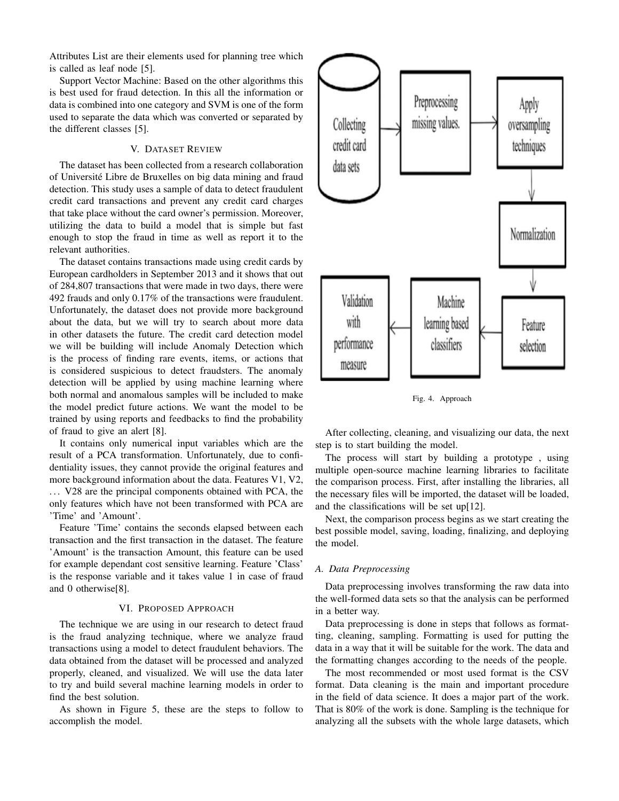Attributes List are their elements used for planning tree which is called as leaf node [5].

Support Vector Machine: Based on the other algorithms this is best used for fraud detection. In this all the information or data is combined into one category and SVM is one of the form used to separate the data which was converted or separated by the different classes [5].

# V. DATASET REVIEW

The dataset has been collected from a research collaboration of Université Libre de Bruxelles on big data mining and fraud detection. This study uses a sample of data to detect fraudulent credit card transactions and prevent any credit card charges that take place without the card owner's permission. Moreover, utilizing the data to build a model that is simple but fast enough to stop the fraud in time as well as report it to the relevant authorities.

The dataset contains transactions made using credit cards by European cardholders in September 2013 and it shows that out of 284,807 transactions that were made in two days, there were 492 frauds and only 0.17% of the transactions were fraudulent. Unfortunately, the dataset does not provide more background about the data, but we will try to search about more data in other datasets the future. The credit card detection model we will be building will include Anomaly Detection which is the process of finding rare events, items, or actions that is considered suspicious to detect fraudsters. The anomaly detection will be applied by using machine learning where both normal and anomalous samples will be included to make the model predict future actions. We want the model to be trained by using reports and feedbacks to find the probability of fraud to give an alert [8].

It contains only numerical input variables which are the result of a PCA transformation. Unfortunately, due to confidentiality issues, they cannot provide the original features and more background information about the data. Features V1, V2, ... V28 are the principal components obtained with PCA, the only features which have not been transformed with PCA are 'Time' and 'Amount'.

Feature 'Time' contains the seconds elapsed between each transaction and the first transaction in the dataset. The feature 'Amount' is the transaction Amount, this feature can be used for example dependant cost sensitive learning. Feature 'Class' is the response variable and it takes value 1 in case of fraud and 0 otherwise[8].

#### VI. PROPOSED APPROACH

The technique we are using in our research to detect fraud is the fraud analyzing technique, where we analyze fraud transactions using a model to detect fraudulent behaviors. The data obtained from the dataset will be processed and analyzed properly, cleaned, and visualized. We will use the data later to try and build several machine learning models in order to find the best solution.

As shown in Figure 5, these are the steps to follow to accomplish the model.



Fig. 4. Approach

After collecting, cleaning, and visualizing our data, the next step is to start building the model.

The process will start by building a prototype , using multiple open-source machine learning libraries to facilitate the comparison process. First, after installing the libraries, all the necessary files will be imported, the dataset will be loaded, and the classifications will be set up[12].

Next, the comparison process begins as we start creating the best possible model, saving, loading, finalizing, and deploying the model.

### *A. Data Preprocessing*

Data preprocessing involves transforming the raw data into the well-formed data sets so that the analysis can be performed in a better way.

Data preprocessing is done in steps that follows as formatting, cleaning, sampling. Formatting is used for putting the data in a way that it will be suitable for the work. The data and the formatting changes according to the needs of the people.

The most recommended or most used format is the CSV format. Data cleaning is the main and important procedure in the field of data science. It does a major part of the work. That is 80% of the work is done. Sampling is the technique for analyzing all the subsets with the whole large datasets, which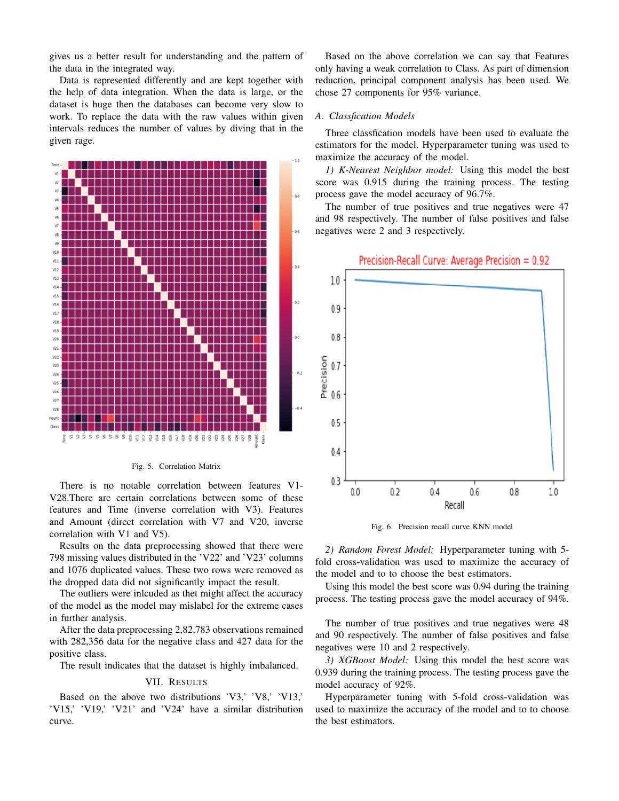gives us a better result for understanding and the pattern of the data in the integrated way.

Data is represented differently and are kept together with the help of data integration. When the data is large, or the dataset is huge then the databases can become very slow to work. To replace the data with the raw values within given intervals reduces the number of values by diving that in the given rage.



Fig. 5. Correlation Matrix

There is no notable correlation between features V1- V28.There are certain correlations between some of these features and Time (inverse correlation with V3). Features and Amount (direct correlation with V7 and V20, inverse correlation with V1 and V5).

Results on the data preprocessing showed that there were 798 missing values distributed in the 'V22' and 'V23' columns and 1076 duplicated values. These two rows were removed as the dropped data did not significantly impact the result.

The outliers were inlcuded as thet might affect the accuracy of the model as the model may mislabel for the extreme cases in further analysis.

After the data preprocessing 2,82,783 observations remained with 282,356 data for the negative class and 427 data for the positive class.

The result indicates that the dataset is highly imbalanced.

#### VII. RESULTS

Based on the above two distributions 'V3,' 'V8,' 'V13,' 'V15,' 'V19,' 'V21' and 'V24' have a similar distribution curve.

Based on the above correlation we can say that Features only having a weak correlation to Class. As part of dimension reduction, principal component analysis has been used. We chose 27 components for 95% variance.

## *A. Classfication Models*

Three classfication models have been used to evaluate the estimators for the model. Hyperparameter tuning was used to maximize the accuracy of the model.

*1) K-Nearest Neighbor model:* Using this model the best score was 0.915 during the training process. The testing process gave the model accuracy of 96.7%.

The number of true positives and true negatives were 47 and 98 respectively. The number of false positives and false negatives were 2 and 3 respectively.



Fig. 6. Precision recall curve KNN model

*2) Random Forest Model:* Hyperparameter tuning with 5 fold cross-validation was used to maximize the accuracy of the model and to to choose the best estimators.

Using this model the best score was 0.94 during the training process. The testing process gave the model accuracy of 94%.

The number of true positives and true negatives were 48 and 90 respectively. The number of false positives and false negatives were 10 and 2 respectively.

*3) XGBoost Model:* Using this model the best score was 0.939 during the training process. The testing process gave the model accuracy of 92%.

Hyperparameter tuning with 5-fold cross-validation was used to maximize the accuracy of the model and to to choose the best estimators.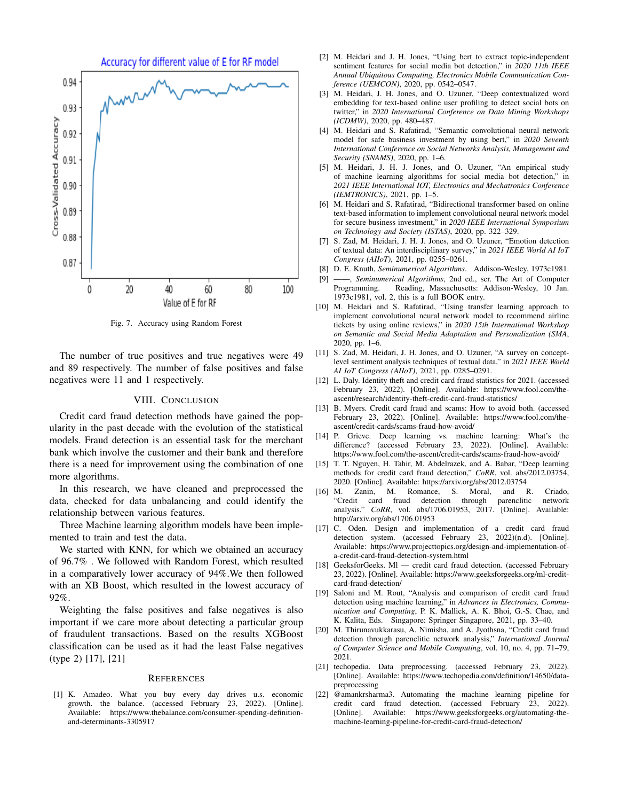

Fig. 7. Accuracy using Random Forest

The number of true positives and true negatives were 49 and 89 respectively. The number of false positives and false negatives were 11 and 1 respectively.

#### VIII. CONCLUSION

Credit card fraud detection methods have gained the popularity in the past decade with the evolution of the statistical models. Fraud detection is an essential task for the merchant bank which involve the customer and their bank and therefore there is a need for improvement using the combination of one more algorithms.

In this research, we have cleaned and preprocessed the data, checked for data unbalancing and could identify the relationship between various features.

Three Machine learning algorithm models have been implemented to train and test the data.

We started with KNN, for which we obtained an accuracy of 96.7% . We followed with Random Forest, which resulted in a comparatively lower accuracy of 94%.We then followed with an XB Boost, which resulted in the lowest accuracy of 92%.

Weighting the false positives and false negatives is also important if we care more about detecting a particular group of fraudulent transactions. Based on the results XGBoost classification can be used as it had the least False negatives (type 2) [17], [21]

#### **REFERENCES**

[1] K. Amadeo. What you buy every day drives u.s. economic growth. the balance. (accessed February 23, 2022). [Online]. Available: https://www.thebalance.com/consumer-spending-definitionand-determinants-3305917

- [2] M. Heidari and J. H. Jones, "Using bert to extract topic-independent sentiment features for social media bot detection," in *2020 11th IEEE Annual Ubiquitous Computing, Electronics Mobile Communication Conference (UEMCON)*, 2020, pp. 0542–0547.
- [3] M. Heidari, J. H. Jones, and O. Uzuner, "Deep contextualized word embedding for text-based online user profiling to detect social bots on twitter," in *2020 International Conference on Data Mining Workshops (ICDMW)*, 2020, pp. 480–487.
- [4] M. Heidari and S. Rafatirad, "Semantic convolutional neural network model for safe business investment by using bert," in *2020 Seventh International Conference on Social Networks Analysis, Management and Security (SNAMS)*, 2020, pp. 1–6.
- [5] M. Heidari, J. H. J. Jones, and O. Uzuner, "An empirical study of machine learning algorithms for social media bot detection," in *2021 IEEE International IOT, Electronics and Mechatronics Conference (IEMTRONICS)*, 2021, pp. 1–5.
- [6] M. Heidari and S. Rafatirad, "Bidirectional transformer based on online text-based information to implement convolutional neural network model for secure business investment," in *2020 IEEE International Symposium on Technology and Society (ISTAS)*, 2020, pp. 322–329.
- [7] S. Zad, M. Heidari, J. H. J. Jones, and O. Uzuner, "Emotion detection of textual data: An interdisciplinary survey," in *2021 IEEE World AI IoT Congress (AIIoT)*, 2021, pp. 0255–0261.
- [8] D. E. Knuth, *Seminumerical Algorithms*. Addison-Wesley, 1973c1981.
- [9] ——, *Seminumerical Algorithms*, 2nd ed., ser. The Art of Computer Programming. Reading, Massachusetts: Addison-Wesley, 10 Jan. Reading, Massachusetts: Addison-Wesley, 10 Jan. 1973c1981, vol. 2, this is a full BOOK entry.
- [10] M. Heidari and S. Rafatirad, "Using transfer learning approach to implement convolutional neural network model to recommend airline tickets by using online reviews," in *2020 15th International Workshop on Semantic and Social Media Adaptation and Personalization (SMA*, 2020, pp. 1–6.
- [11] S. Zad, M. Heidari, J. H. Jones, and O. Uzuner, "A survey on conceptlevel sentiment analysis techniques of textual data," in *2021 IEEE World AI IoT Congress (AIIoT)*, 2021, pp. 0285–0291.
- [12] L. Daly. Identity theft and credit card fraud statistics for 2021. (accessed February 23, 2022). [Online]. Available: https://www.fool.com/theascent/research/identity-theft-credit-card-fraud-statistics/
- [13] B. Myers. Credit card fraud and scams: How to avoid both. (accessed February 23, 2022). [Online]. Available: https://www.fool.com/theascent/credit-cards/scams-fraud-how-avoid/
- [14] P. Grieve. Deep learning vs. machine learning: What's the difference? (accessed February 23, 2022). [Online]. Available: https://www.fool.com/the-ascent/credit-cards/scams-fraud-how-avoid/
- [15] T. T. Nguyen, H. Tahir, M. Abdelrazek, and A. Babar, "Deep learning methods for credit card fraud detection," *CoRR*, vol. abs/2012.03754, 2020. [Online]. Available: https://arxiv.org/abs/2012.03754
- [16] M. Zanin, M. Romance, S. Moral, and R. Criado, "Credit card fraud detection through parenclitic network analysis," *CoRR*, vol. abs/1706.01953, 2017. [Online]. Available: http://arxiv.org/abs/1706.01953
- [17] C. Oden. Design and implementation of a credit card fraud detection system. (accessed February 23, 2022)(n.d). [Online]. Available: https://www.projecttopics.org/design-and-implementation-ofa-credit-card-fraud-detection-system.html
- [18] GeeksforGeeks. Ml credit card fraud detection. (accessed February 23, 2022). [Online]. Available: https://www.geeksforgeeks.org/ml-creditcard-fraud-detection/
- [19] Saloni and M. Rout, "Analysis and comparison of credit card fraud detection using machine learning," in *Advances in Electronics, Communication and Computing*, P. K. Mallick, A. K. Bhoi, G.-S. Chae, and K. Kalita, Eds. Singapore: Springer Singapore, 2021, pp. 33–40.
- [20] M. Thirunavukkarasu, A. Nimisha, and A. Jyothsna, "Credit card fraud detection through parenclitic network analysis," *International Journal of Computer Science and Mobile Computing*, vol. 10, no. 4, pp. 71–79, 2021.
- [21] techopedia. Data preprocessing. (accessed February 23, 2022). [Online]. Available: https://www.techopedia.com/definition/14650/datapreprocessing
- [22] @amankrsharma3. Automating the machine learning pipeline for credit card fraud detection. (accessed February 23, 2022). [Online]. Available: https://www.geeksforgeeks.org/automating-themachine-learning-pipeline-for-credit-card-fraud-detection/